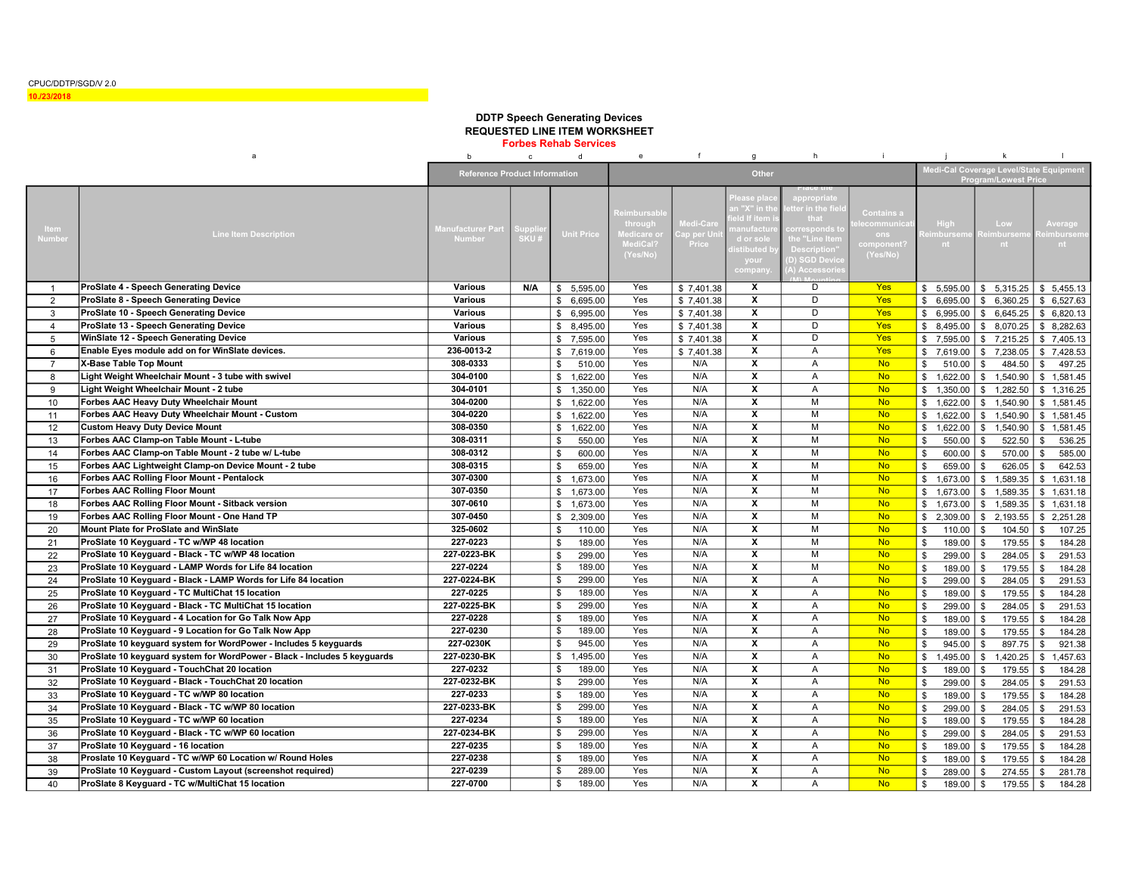CPUC/DDTP/SGD/V 2.0

## 10./23/2018

## DDTP Speech Generating Devices REQUESTED LINE ITEM WORKSHEET

Forbes Rehab Services

|                | a                                                                        | $\mathbf b$                               | $\mathbf{c}$      | d                        |              | $\mathbf{e}$                                                             | f                              | $g$                                                                                          | h                                                                                                 | j.                                                                     |                         | $\mathsf{k}$              | $\mathbf{I}$                            |
|----------------|--------------------------------------------------------------------------|-------------------------------------------|-------------------|--------------------------|--------------|--------------------------------------------------------------------------|--------------------------------|----------------------------------------------------------------------------------------------|---------------------------------------------------------------------------------------------------|------------------------------------------------------------------------|-------------------------|---------------------------|-----------------------------------------|
|                |                                                                          | <b>Reference Product Information</b>      |                   |                          | <b>Other</b> |                                                                          |                                |                                                                                              |                                                                                                   | ledi-Cal Coverage Level/State Equipment<br><b>Program/Lowest Price</b> |                         |                           |                                         |
| Item<br>Number | <b>Line Item Description</b>                                             | <b>Manufacturer Part</b><br><b>Number</b> | qqu<br><b>SKU</b> | <b>Unit Price</b>        |              | <b>Reimbursab</b><br>through<br><b>Medicare</b> o<br>MediCal<br>(Yes/No) | ledi-Car<br>ap per Ur<br>Price | ease pl<br>n "X" in th<br>ld If iten<br>ıanufactı<br>d or so<br>stibuted I<br>your<br>compan | ppropriat<br>ter in the fie<br>that<br>rresponds t<br>he "Line It<br>)escriptior<br>D) SGD Device | <b>Contains</b> a<br>communic<br>ons<br>(Yes/No)                       | High<br>mburser<br>nt.  | Low.<br>nhursen<br>nt.    | <b>Average</b><br><b>imbursem</b><br>nt |
|                | ProSlate 4 - Speech Generating Device                                    | <b>Various</b>                            | N/A               | \$<br>5,595.00           |              | Yes                                                                      | \$7,401.38                     | х                                                                                            | D                                                                                                 | Yes                                                                    | \$5,595.00              | \$5,315.25                | \$5,455.13                              |
| $\overline{2}$ | ProSlate 8 - Speech Generating Device                                    | <b>Various</b>                            |                   | \$6,695.00               |              | Yes                                                                      | \$7,401.38                     | $\overline{\mathbf{x}}$                                                                      | D                                                                                                 | Yes                                                                    | \$6,695.00              | 6,360.25<br>\$            | \$6,527.63                              |
| 3              | ProSlate 10 - Speech Generating Device                                   | <b>Various</b>                            |                   | \$<br>6,995.00           |              | Yes                                                                      | \$7,401.38                     | $\boldsymbol{x}$                                                                             | D                                                                                                 | Yes                                                                    | \$6,995.00              | \$6,645.25                | \$6,820.13                              |
| $\overline{4}$ | ProSlate 13 - Speech Generating Device                                   | <b>Various</b>                            |                   | \$<br>8,495.00           |              | Yes                                                                      | \$7,401.38                     | X                                                                                            | D                                                                                                 | <b>Yes</b>                                                             | \$8,495.00              | \$8,070.25                | \$8,282.63                              |
| 5              | WinSlate 12 - Speech Generating Device                                   | <b>Various</b>                            |                   | \$<br>7,595.00           |              | Yes                                                                      | \$7,401.38                     | $\overline{\mathbf{x}}$                                                                      | D                                                                                                 | Yes                                                                    | \$7,595.00              | \$7,215.25                | \$7,405.13                              |
| 6              | Enable Eyes module add on for WinSlate devices.                          | 236-0013-2                                |                   | \$7,619.00               |              | Yes                                                                      | \$7,401.38                     | X                                                                                            | A                                                                                                 | Yes                                                                    | \$7,619.00              | \$7,238.05                | \$7,428.53                              |
| $\overline{7}$ | X-Base Table Top Mount                                                   | 308-0333                                  |                   | \$<br>510.00             |              | Yes                                                                      | N/A                            | $\overline{\mathbf{x}}$                                                                      | $\overline{A}$                                                                                    | <b>No</b>                                                              | \$<br>510.00            | \$<br>484.50              | 497.25<br>\$                            |
| 8              | Light Weight Wheelchair Mount - 3 tube with swivel                       | 304-0100                                  |                   | 1,622.00<br>$\mathbb{S}$ |              | Yes                                                                      | N/A                            | $\overline{\mathbf{x}}$                                                                      | $\overline{A}$                                                                                    | <b>No</b>                                                              | \$1,622.00              | \$1,540.90                | \$1.581.45                              |
| 9              | Light Weight Wheelchair Mount - 2 tube                                   | 304-0101                                  |                   | \$1.350.00               |              | Yes                                                                      | N/A                            | $\overline{\mathbf{x}}$                                                                      | $\overline{A}$                                                                                    | <b>No</b>                                                              | \$1,350.00              | \$1.282.50                | \$1.316.25                              |
| 10             | Forbes AAC Heavy Duty Wheelchair Mount                                   | 304-0200                                  |                   | \$1,622.00               |              | Yes                                                                      | N/A                            | $\overline{\mathbf{x}}$                                                                      | M                                                                                                 | <b>No</b>                                                              | \$1,622.00              | \$1,540.90                | \$1,581.45                              |
| 11             | Forbes AAC Heavy Duty Wheelchair Mount - Custom                          | 304-0220                                  |                   | 1,622.00<br>$\mathbb{S}$ |              | Yes                                                                      | N/A                            | $\overline{\mathbf{x}}$                                                                      | M                                                                                                 | <b>No</b>                                                              | \$1,622.00              | \$1,540.90                | \$1,581.45                              |
| 12             | <b>Custom Heavy Duty Device Mount</b>                                    | 308-0350                                  |                   | $\mathbb{S}$<br>1,622.00 |              | Yes                                                                      | N/A                            | X                                                                                            | M                                                                                                 | <b>No</b>                                                              | \$1,622.00              | \$1,540.90                | \$1,581.45                              |
| 13             | Forbes AAC Clamp-on Table Mount - L-tube                                 | 308-0311                                  |                   | 550.00<br>\$             |              | Yes                                                                      | N/A                            | $\overline{\mathbf{x}}$                                                                      | M                                                                                                 | <b>No</b>                                                              | 550.00<br>\$            | 522.50<br>\$              | 536.25<br>\$                            |
| 14             | Forbes AAC Clamp-on Table Mount - 2 tube w/ L-tube                       | 308-0312                                  |                   | 600.00<br>\$             |              | Yes                                                                      | N/A                            | $\overline{\mathbf{x}}$                                                                      | M                                                                                                 | <b>No</b>                                                              | \$<br>600.00            | 570.00<br>\$              | 585.00<br>\$                            |
| 15             | Forbes AAC Lightweight Clamp-on Device Mount - 2 tube                    | 308-0315                                  |                   | \$<br>659.00             |              | Yes                                                                      | N/A                            | X                                                                                            | M                                                                                                 | <b>No</b>                                                              | \$<br>659.00            | \$<br>626.05              | \$<br>642.53                            |
| 16             | <b>Forbes AAC Rolling Floor Mount - Pentalock</b>                        | 307-0300                                  |                   | \$<br>1,673.00           |              | Yes                                                                      | N/A                            | X                                                                                            | M                                                                                                 | <b>No</b>                                                              | \$1,673.00              | \$1,589.35                | \$1,631.18                              |
| 17             | <b>Forbes AAC Rolling Floor Mount</b>                                    | 307-0350                                  |                   | \$<br>1,673.00           |              | Yes                                                                      | N/A                            | $\overline{\mathbf{x}}$                                                                      | M                                                                                                 | <b>No</b>                                                              | \$1,673.00              | \$1,589.35                | \$1,631.18                              |
| 18             | Forbes AAC Rolling Floor Mount - Sitback version                         | 307-0610                                  |                   | \$<br>1,673.00           |              | Yes                                                                      | N/A                            | X                                                                                            | M                                                                                                 | <b>No</b>                                                              | \$1,673.00              | \$1,589.35                | \$1,631.18                              |
| 19             | Forbes AAC Rolling Floor Mount - One Hand TP                             | 307-0450                                  |                   | \$<br>2,309.00           |              | Yes                                                                      | N/A                            | X                                                                                            | M                                                                                                 | <b>No</b>                                                              | \$2,309.00              | $\mathfrak s$<br>2,193.55 | \$2,251.28                              |
| 20             | Mount Plate for ProSlate and WinSlate                                    | 325-0602                                  |                   | \$<br>110.00             |              | Yes                                                                      | N/A                            | X                                                                                            | М                                                                                                 | <b>No</b>                                                              | \$<br>110.00            | \$<br>104.50              | \$<br>107.25                            |
| 21             | ProSlate 10 Keyguard - TC w/WP 48 location                               | 227-0223                                  |                   | $\mathbf{\$}$            | 189.00       | Yes                                                                      | N/A                            | X                                                                                            | M                                                                                                 | <b>No</b>                                                              | \$<br>189.00            | 179.55<br>\$              | \$<br>184.28                            |
| 22             | ProSlate 10 Keyguard - Black - TC w/WP 48 location                       | 227-0223-BK                               |                   | 299.00<br>\$             |              | Yes                                                                      | N/A                            | X                                                                                            | M                                                                                                 | <b>No</b>                                                              | 299.00<br>\$            | 284.05<br>\$              | \$<br>291.53                            |
| 23             | ProSlate 10 Keyguard - LAMP Words for Life 84 location                   | 227-0224                                  |                   | \$                       | 189.00       | Yes                                                                      | N/A                            | X                                                                                            | М                                                                                                 | <b>No</b>                                                              | \$<br>189.00            | \$<br>179.55              | \$<br>184.28                            |
| 24             | ProSlate 10 Keyguard - Black - LAMP Words for Life 84 location           | 227-0224-BK                               |                   | \$                       | 299.00       | Yes                                                                      | N/A                            | $\boldsymbol{\mathsf{x}}$                                                                    | $\overline{A}$                                                                                    | <b>No</b>                                                              | 299.00<br>\$            | 284.05<br>\$              | 291.53<br>\$                            |
| 25             | ProSlate 10 Keyguard - TC MultiChat 15 location                          | 227-0225                                  |                   | \$                       | 189.00       | Yes                                                                      | N/A                            | $\overline{\mathbf{x}}$                                                                      | $\overline{A}$                                                                                    | <b>No</b>                                                              | \$<br>189.00            | \$<br>179.55              | $\mathbb{S}$<br>184.28                  |
| 26             | ProSlate 10 Keyguard - Black - TC MultiChat 15 location                  | 227-0225-BK                               |                   | $\overline{\mathcal{S}}$ | 299.00       | Yes                                                                      | N/A                            | $\overline{\mathbf{x}}$                                                                      | A                                                                                                 | <b>No</b>                                                              | \$<br>299.00            | \$<br>284.05              | \$<br>291.53                            |
| 27             | ProSlate 10 Keyguard - 4 Location for Go Talk Now App                    | 227-0228                                  |                   | $\mathfrak s$            | 189.00       | Yes                                                                      | N/A                            | $\overline{\mathbf{x}}$                                                                      | $\overline{A}$                                                                                    | <b>No</b>                                                              | \$<br>189.00            | \$<br>179.55              | $\mathbb{S}$<br>184.28                  |
| 28             | ProSlate 10 Keyguard - 9 Location for Go Talk Now App                    | 227-0230                                  |                   | \$                       | 189.00       | Yes                                                                      | N/A                            | $\overline{\mathbf{x}}$                                                                      | $\overline{A}$                                                                                    | <b>No</b>                                                              | $\mathfrak s$<br>189.00 | 179.55<br>\$              | 184.28<br>\$                            |
| 29             | ProSlate 10 keyguard system for WordPower - Includes 5 keyguards         | 227-0230K                                 |                   | \$                       | 945.00       | Yes                                                                      | N/A                            | $\overline{\mathbf{x}}$                                                                      | A                                                                                                 | <b>No</b>                                                              | \$<br>945.00            | 897.75<br>\$              | 921.38<br>\$                            |
| 30             | ProSlate 10 keyguard system for WordPower - Black - Includes 5 keyguards | 227-0230-BK                               |                   | \$<br>1,495.00           |              | Yes                                                                      | N/A                            | $\overline{\mathbf{x}}$                                                                      | $\overline{A}$                                                                                    | <b>No</b>                                                              | \$<br>1,495.00          | \$<br>1,420.25            | \$<br>1,457.63                          |
| 31             | ProSlate 10 Keyguard - TouchChat 20 location                             | 227-0232                                  |                   | \$                       | 189.00       | Yes                                                                      | N/A                            | $\boldsymbol{x}$                                                                             | $\overline{A}$                                                                                    | <b>No</b>                                                              | \$<br>189.00            | 179.55<br>\$              | 184.28<br>$\mathbf{s}$                  |
| 32             | ProSlate 10 Keyguard - Black - TouchChat 20 location                     | 227-0232-BK                               |                   | 299.00<br>\$             |              | Yes                                                                      | N/A                            | $\overline{\mathbf{x}}$                                                                      | A                                                                                                 | <b>No</b>                                                              | \$<br>299.00            | \$<br>284.05              | \$<br>291.53                            |
| 33             | ProSlate 10 Keyguard - TC w/WP 80 location                               | 227-0233                                  |                   | \$                       | 189.00       | Yes                                                                      | N/A                            | $\overline{\mathbf{x}}$                                                                      | $\overline{A}$                                                                                    | <b>No</b>                                                              | \$<br>189.00            | 179.55<br>\$              | \$<br>184.28                            |
| 34             | ProSlate 10 Keyguard - Black - TC w/WP 80 location                       | 227-0233-BK                               |                   | \$                       | 299.00       | Yes                                                                      | N/A                            | $\boldsymbol{x}$                                                                             | $\overline{A}$                                                                                    | <b>No</b>                                                              | $\mathfrak s$<br>299.00 | 284.05<br>\$              | \$<br>291.53                            |
| 35             | ProSlate 10 Keyguard - TC w/WP 60 location                               | 227-0234                                  |                   | \$                       | 189.00       | Yes                                                                      | N/A                            | $\overline{\mathbf{x}}$                                                                      | A                                                                                                 | <b>No</b>                                                              | $\mathfrak s$<br>189.00 | 179.55<br>$\mathbf{s}$    | 184.28<br>\$                            |
| 36             | ProSlate 10 Keyguard - Black - TC w/WP 60 location                       | 227-0234-BK                               |                   | \$                       | 299.00       | Yes                                                                      | N/A                            | $\overline{\mathbf{x}}$                                                                      | A                                                                                                 | <b>No</b>                                                              | $\mathfrak s$<br>299.00 | 284.05<br>$\mathbf{s}$    | \$<br>291.53                            |
| 37             | ProSlate 10 Keyguard - 16 location                                       | 227-0235                                  |                   | \$                       | 189.00       | Yes                                                                      | N/A                            | X                                                                                            | A                                                                                                 | <b>No</b>                                                              | \$<br>189.00            | 179.55<br>$\mathbf{s}$    | \$<br>184.28                            |
| 38             | Proslate 10 Keyguard - TC w/WP 60 Location w/ Round Holes                | 227-0238                                  |                   | \$                       | 189.00       | Yes                                                                      | N/A                            | $\overline{\mathbf{x}}$                                                                      | A                                                                                                 | <b>No</b>                                                              | \$<br>189.00            | 179.55<br>S               | 184.28<br>\$                            |
| 39             | ProSlate 10 Keyguard - Custom Layout (screenshot required)               | 227-0239                                  |                   | \$                       | 289.00       | Yes                                                                      | N/A                            | $\overline{\mathbf{x}}$                                                                      | A                                                                                                 | <b>No</b>                                                              | 289.00<br>\$            | 274.55<br>\$              | 281.78<br>\$                            |
| 40             | ProSlate 8 Keyguard - TC w/MultiChat 15 location                         | 227-0700                                  |                   | \$                       | 189.00       | Yes                                                                      | N/A                            | $\mathbf{x}$                                                                                 | A                                                                                                 | <b>No</b>                                                              | \$<br>189.00            | \$<br>179.55              | 184.28<br>\$                            |